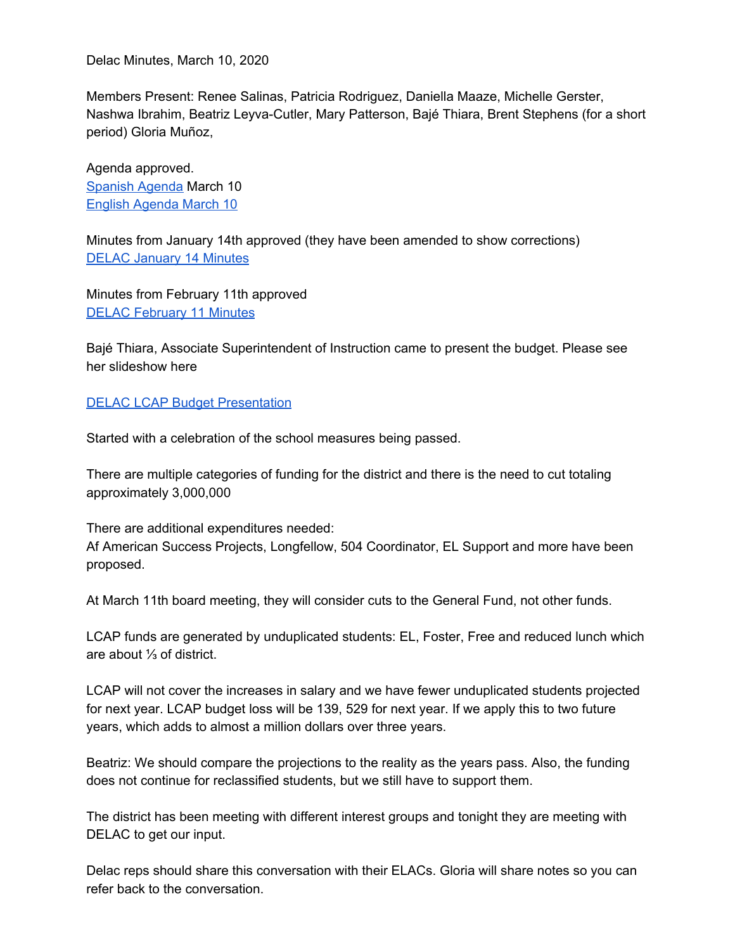Delac Minutes, March 10, 2020

Members Present: Renee Salinas, Patricia Rodriguez, Daniella Maaze, Michelle Gerster, Nashwa Ibrahim, Beatriz Leyva-Cutler, Mary Patterson, Bajé Thiara, Brent Stephens (for a short period) Gloria Muñoz,

Agenda approved. [Spanish](https://drive.google.com/open?id=1vbYakr0ear2eBMz-9WgRcArrcnG53BV8) Agenda March 10 English [Agenda](https://drive.google.com/file/d/1PVm5uMix0HoNU9WdW5iplsnJkczsUf0j/view?usp=sharing) March 10

Minutes from January 14th approved (they have been amended to show corrections) DELAC [January](https://docs.google.com/document/d/1ZNHWU_HZ8d6qeWIktDC93DMQnCDGPuyFyyIqUCEsgRQ/edit?usp=sharing) 14 Minutes

Minutes from February 11th approved DELAC [February](https://docs.google.com/document/d/10yuRlW2e7lPN_juvdaK75gQdaqFUMpyMpZnFnDFB2dw/edit?usp=sharing) 11 Minutes

Bajé Thiara, Associate Superintendent of Instruction came to present the budget. Please see her slideshow here

## DELAC LCAP Budget [Presentation](https://drive.google.com/file/d/1qkElcleZQu2n6rXjO9n1SCmfHa7XUh6o/view?usp=sharing)

Started with a celebration of the school measures being passed.

There are multiple categories of funding for the district and there is the need to cut totaling approximately 3,000,000

There are additional expenditures needed: Af American Success Projects, Longfellow, 504 Coordinator, EL Support and more have been proposed.

At March 11th board meeting, they will consider cuts to the General Fund, not other funds.

LCAP funds are generated by unduplicated students: EL, Foster, Free and reduced lunch which are about ⅓ of district.

LCAP will not cover the increases in salary and we have fewer unduplicated students projected for next year. LCAP budget loss will be 139, 529 for next year. If we apply this to two future years, which adds to almost a million dollars over three years.

Beatriz: We should compare the projections to the reality as the years pass. Also, the funding does not continue for reclassified students, but we still have to support them.

The district has been meeting with different interest groups and tonight they are meeting with DELAC to get our input.

Delac reps should share this conversation with their ELACs. Gloria will share notes so you can refer back to the conversation.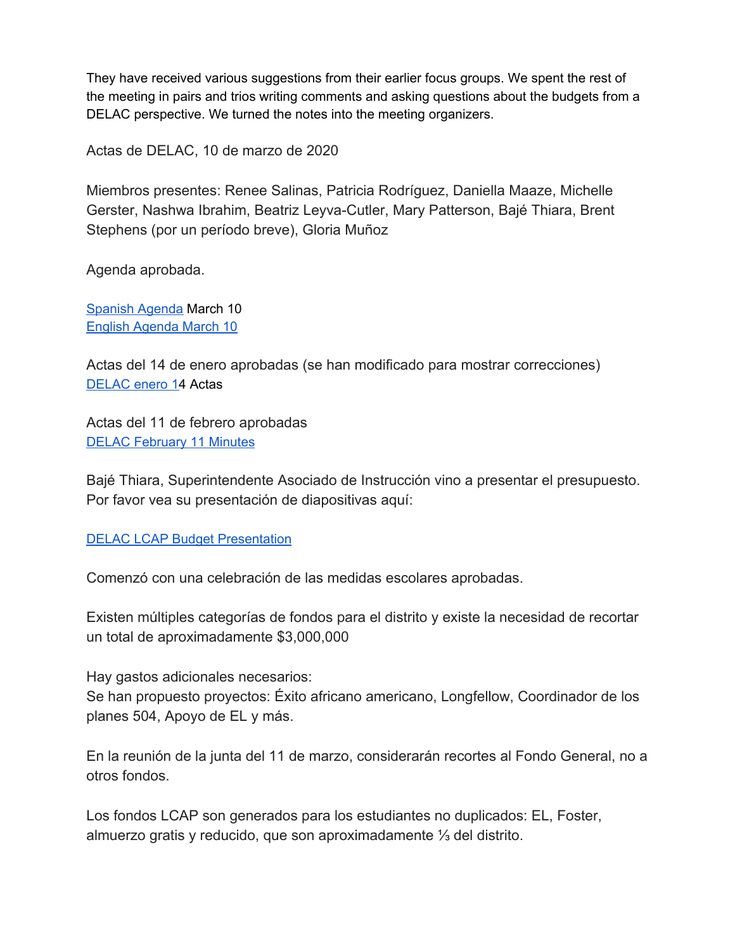They have received various suggestions from their earlier focus groups. We spent the rest of the meeting in pairs and trios writing comments and asking questions about the budgets from a DELAC perspective. We turned the notes into the meeting organizers.

Actas de DELAC, 10 de marzo de 2020

Miembros presentes: Renee Salinas, Patricia Rodríguez, Daniella Maaze, Michelle Gerster, Nashwa Ibrahim, Beatriz Leyva-Cutler, Mary Patterson, Bajé Thiara, Brent Stephens (por un período breve), Gloria Muñoz

Agenda aprobada.

[Spanish](https://drive.google.com/open?id=1vbYakr0ear2eBMz-9WgRcArrcnG53BV8) Agenda March 10 English [Agenda](https://drive.google.com/file/d/1PVm5uMix0HoNU9WdW5iplsnJkczsUf0j/view?usp=sharing) March 10

Actas del 14 de enero aprobadas (se han modificado para mostrar correcciones) [DELAC](https://docs.google.com/document/d/1ZNHWU_HZ8d6qeWIktDC93DMQnCDGPuyFyyIqUCEsgRQ/edit?usp=sharing) enero 14 Actas

Actas del 11 de febrero aprobadas DELAC [February](https://docs.google.com/document/d/10yuRlW2e7lPN_juvdaK75gQdaqFUMpyMpZnFnDFB2dw/edit?usp=sharing) 11 Minutes

Bajé Thiara, Superintendente Asociado de Instrucción vino a presentar el presupuesto. Por favor vea su presentación de diapositivas aquí:

DELAC LCAP Budget [Presentation](https://drive.google.com/file/d/1qkElcleZQu2n6rXjO9n1SCmfHa7XUh6o/view?usp=sharing)

Comenzó con una celebración de las medidas escolares aprobadas.

Existen múltiples categorías de fondos para el distrito y existe la necesidad de recortar un total de aproximadamente \$3,000,000

Hay gastos adicionales necesarios:

Se han propuesto proyectos: Éxito africano americano, Longfellow, Coordinador de los planes 504, Apoyo de EL y más.

En la reunión de la junta del 11 de marzo, considerarán recortes al Fondo General, no a otros fondos.

Los fondos LCAP son generados para los estudiantes no duplicados: EL, Foster, almuerzo gratis y reducido, que son aproximadamente ⅓ del distrito.